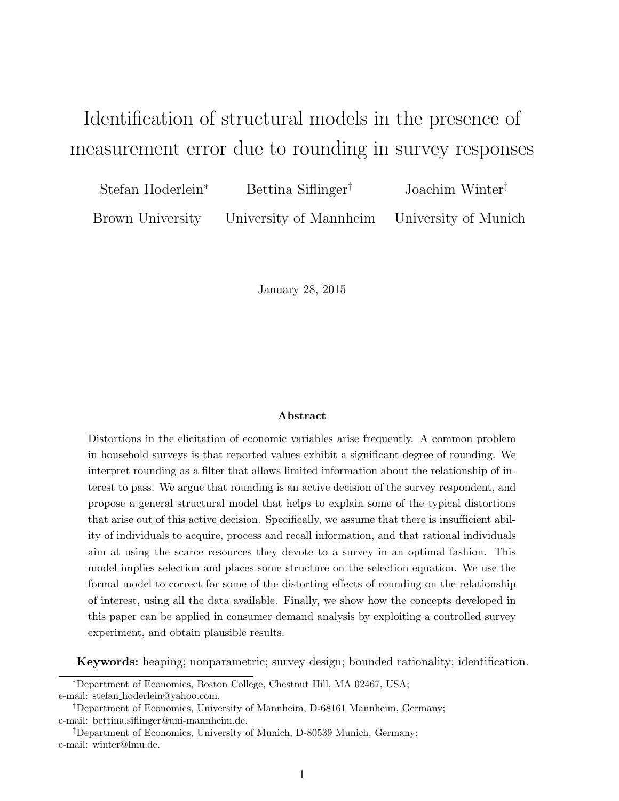# Identification of structural models in the presence of measurement error due to rounding in survey responses

| Stefan Hoderlein <sup>*</sup> | Bettina Siflinger <sup>†</sup>                               | Joachim Winter <sup><math>‡</math></sup> |
|-------------------------------|--------------------------------------------------------------|------------------------------------------|
|                               | Brown University University of Mannheim University of Munich |                                          |

January 28, 2015

#### Abstract

Distortions in the elicitation of economic variables arise frequently. A common problem in household surveys is that reported values exhibit a significant degree of rounding. We interpret rounding as a filter that allows limited information about the relationship of interest to pass. We argue that rounding is an active decision of the survey respondent, and propose a general structural model that helps to explain some of the typical distortions that arise out of this active decision. Specifically, we assume that there is insufficient ability of individuals to acquire, process and recall information, and that rational individuals aim at using the scarce resources they devote to a survey in an optimal fashion. This model implies selection and places some structure on the selection equation. We use the formal model to correct for some of the distorting effects of rounding on the relationship of interest, using all the data available. Finally, we show how the concepts developed in this paper can be applied in consumer demand analysis by exploiting a controlled survey experiment, and obtain plausible results.

Keywords: heaping; nonparametric; survey design; bounded rationality; identification.

<sup>∗</sup>Department of Economics, Boston College, Chestnut Hill, MA 02467, USA; e-mail: stefan hoderlein@yahoo.com.

<sup>†</sup>Department of Economics, University of Mannheim, D-68161 Mannheim, Germany; e-mail: bettina.siflinger@uni-mannheim.de.

<sup>‡</sup>Department of Economics, University of Munich, D-80539 Munich, Germany; e-mail: winter@lmu.de.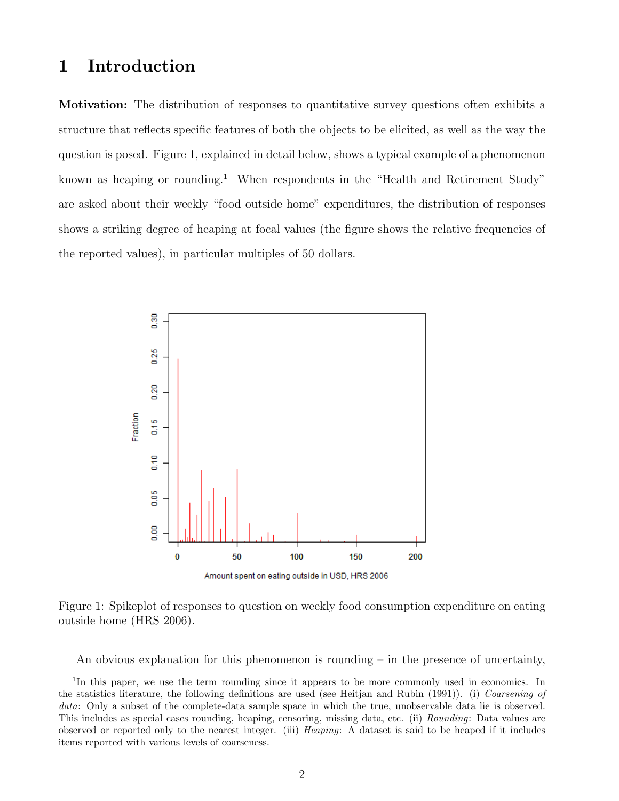## 1 Introduction

Motivation: The distribution of responses to quantitative survey questions often exhibits a structure that reflects specific features of both the objects to be elicited, as well as the way the question is posed. Figure 1, explained in detail below, shows a typical example of a phenomenon known as heaping or rounding.<sup>1</sup> When respondents in the "Health and Retirement Study" are asked about their weekly "food outside home" expenditures, the distribution of responses shows a striking degree of heaping at focal values (the figure shows the relative frequencies of the reported values), in particular multiples of 50 dollars.



Figure 1: Spikeplot of responses to question on weekly food consumption expenditure on eating outside home (HRS 2006).

An obvious explanation for this phenomenon is rounding  $-$  in the presence of uncertainty,

<sup>&</sup>lt;sup>1</sup>In this paper, we use the term rounding since it appears to be more commonly used in economics. In the statistics literature, the following definitions are used (see Heitjan and Rubin (1991)). (i) Coarsening of data: Only a subset of the complete-data sample space in which the true, unobservable data lie is observed. This includes as special cases rounding, heaping, censoring, missing data, etc. (ii) Rounding: Data values are observed or reported only to the nearest integer. (iii) Heaping: A dataset is said to be heaped if it includes items reported with various levels of coarseness.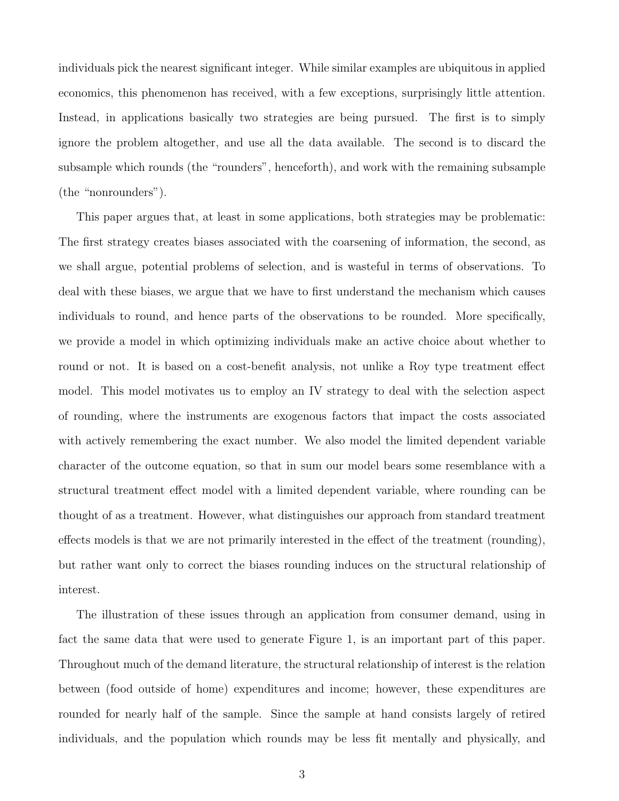individuals pick the nearest significant integer. While similar examples are ubiquitous in applied economics, this phenomenon has received, with a few exceptions, surprisingly little attention. Instead, in applications basically two strategies are being pursued. The first is to simply ignore the problem altogether, and use all the data available. The second is to discard the subsample which rounds (the "rounders", henceforth), and work with the remaining subsample (the "nonrounders").

This paper argues that, at least in some applications, both strategies may be problematic: The first strategy creates biases associated with the coarsening of information, the second, as we shall argue, potential problems of selection, and is wasteful in terms of observations. To deal with these biases, we argue that we have to first understand the mechanism which causes individuals to round, and hence parts of the observations to be rounded. More specifically, we provide a model in which optimizing individuals make an active choice about whether to round or not. It is based on a cost-benefit analysis, not unlike a Roy type treatment effect model. This model motivates us to employ an IV strategy to deal with the selection aspect of rounding, where the instruments are exogenous factors that impact the costs associated with actively remembering the exact number. We also model the limited dependent variable character of the outcome equation, so that in sum our model bears some resemblance with a structural treatment effect model with a limited dependent variable, where rounding can be thought of as a treatment. However, what distinguishes our approach from standard treatment effects models is that we are not primarily interested in the effect of the treatment (rounding), but rather want only to correct the biases rounding induces on the structural relationship of interest.

The illustration of these issues through an application from consumer demand, using in fact the same data that were used to generate Figure 1, is an important part of this paper. Throughout much of the demand literature, the structural relationship of interest is the relation between (food outside of home) expenditures and income; however, these expenditures are rounded for nearly half of the sample. Since the sample at hand consists largely of retired individuals, and the population which rounds may be less fit mentally and physically, and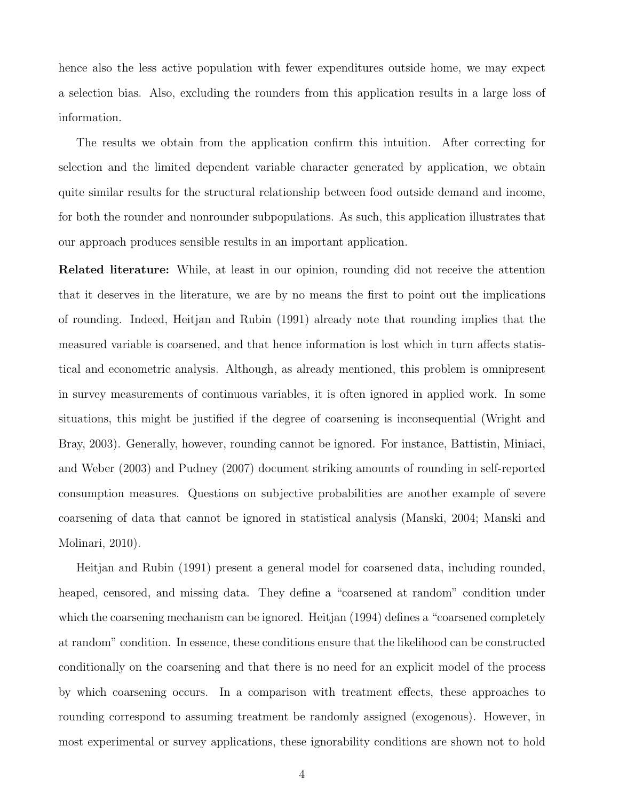hence also the less active population with fewer expenditures outside home, we may expect a selection bias. Also, excluding the rounders from this application results in a large loss of information.

The results we obtain from the application confirm this intuition. After correcting for selection and the limited dependent variable character generated by application, we obtain quite similar results for the structural relationship between food outside demand and income, for both the rounder and nonrounder subpopulations. As such, this application illustrates that our approach produces sensible results in an important application.

Related literature: While, at least in our opinion, rounding did not receive the attention that it deserves in the literature, we are by no means the first to point out the implications of rounding. Indeed, Heitjan and Rubin (1991) already note that rounding implies that the measured variable is coarsened, and that hence information is lost which in turn affects statistical and econometric analysis. Although, as already mentioned, this problem is omnipresent in survey measurements of continuous variables, it is often ignored in applied work. In some situations, this might be justified if the degree of coarsening is inconsequential (Wright and Bray, 2003). Generally, however, rounding cannot be ignored. For instance, Battistin, Miniaci, and Weber (2003) and Pudney (2007) document striking amounts of rounding in self-reported consumption measures. Questions on subjective probabilities are another example of severe coarsening of data that cannot be ignored in statistical analysis (Manski, 2004; Manski and Molinari, 2010).

Heitjan and Rubin (1991) present a general model for coarsened data, including rounded, heaped, censored, and missing data. They define a "coarsened at random" condition under which the coarsening mechanism can be ignored. Heitjan (1994) defines a "coarsened completely at random" condition. In essence, these conditions ensure that the likelihood can be constructed conditionally on the coarsening and that there is no need for an explicit model of the process by which coarsening occurs. In a comparison with treatment effects, these approaches to rounding correspond to assuming treatment be randomly assigned (exogenous). However, in most experimental or survey applications, these ignorability conditions are shown not to hold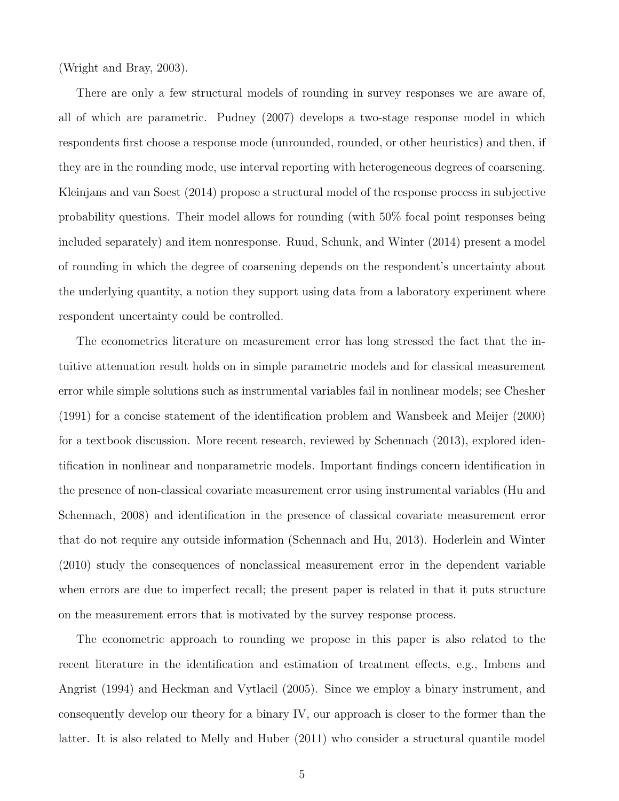(Wright and Bray, 2003).

There are only a few structural models of rounding in survey responses we are aware of, all of which are parametric. Pudney (2007) develops a two-stage response model in which respondents first choose a response mode (unrounded, rounded, or other heuristics) and then, if they are in the rounding mode, use interval reporting with heterogeneous degrees of coarsening. Kleinjans and van Soest (2014) propose a structural model of the response process in subjective probability questions. Their model allows for rounding (with 50% focal point responses being included separately) and item nonresponse. Ruud, Schunk, and Winter (2014) present a model of rounding in which the degree of coarsening depends on the respondent's uncertainty about the underlying quantity, a notion they support using data from a laboratory experiment where respondent uncertainty could be controlled.

The econometrics literature on measurement error has long stressed the fact that the intuitive attenuation result holds on in simple parametric models and for classical measurement error while simple solutions such as instrumental variables fail in nonlinear models; see Chesher (1991) for a concise statement of the identification problem and Wansbeek and Meijer (2000) for a textbook discussion. More recent research, reviewed by Schennach (2013), explored identification in nonlinear and nonparametric models. Important findings concern identification in the presence of non-classical covariate measurement error using instrumental variables (Hu and Schennach, 2008) and identification in the presence of classical covariate measurement error that do not require any outside information (Schennach and Hu, 2013). Hoderlein and Winter (2010) study the consequences of nonclassical measurement error in the dependent variable when errors are due to imperfect recall; the present paper is related in that it puts structure on the measurement errors that is motivated by the survey response process.

The econometric approach to rounding we propose in this paper is also related to the recent literature in the identification and estimation of treatment effects, e.g., Imbens and Angrist (1994) and Heckman and Vytlacil (2005). Since we employ a binary instrument, and consequently develop our theory for a binary IV, our approach is closer to the former than the latter. It is also related to Melly and Huber (2011) who consider a structural quantile model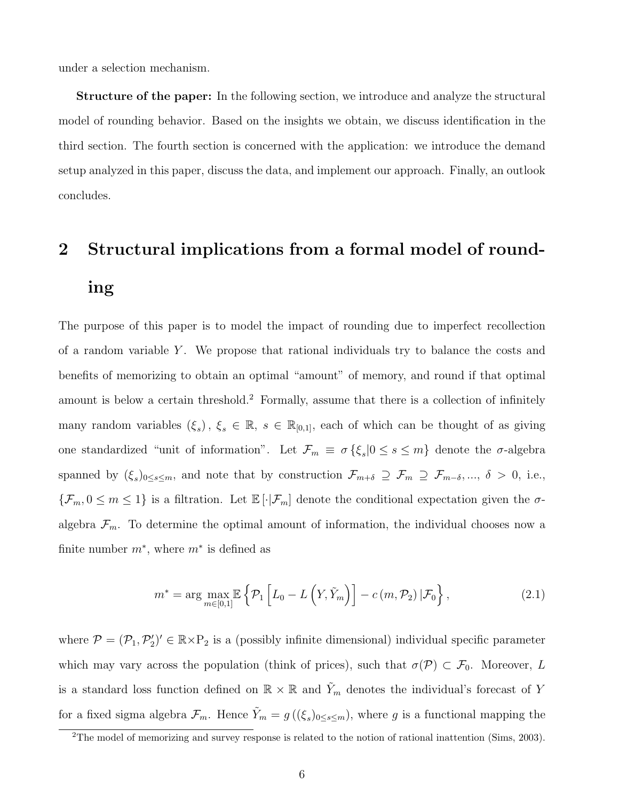under a selection mechanism.

Structure of the paper: In the following section, we introduce and analyze the structural model of rounding behavior. Based on the insights we obtain, we discuss identification in the third section. The fourth section is concerned with the application: we introduce the demand setup analyzed in this paper, discuss the data, and implement our approach. Finally, an outlook concludes.

# 2 Structural implications from a formal model of rounding

The purpose of this paper is to model the impact of rounding due to imperfect recollection of a random variable Y. We propose that rational individuals try to balance the costs and benefits of memorizing to obtain an optimal "amount" of memory, and round if that optimal amount is below a certain threshold.<sup>2</sup> Formally, assume that there is a collection of infinitely many random variables  $(\xi_s)$ ,  $\xi_s \in \mathbb{R}$ ,  $s \in \mathbb{R}_{[0,1]}$ , each of which can be thought of as giving one standardized "unit of information". Let  $\mathcal{F}_m \equiv \sigma \{\xi_s | 0 \le s \le m\}$  denote the  $\sigma$ -algebra spanned by  $(\xi_s)_{0\leq s\leq m}$ , and note that by construction  $\mathcal{F}_{m+\delta} \supseteq \mathcal{F}_m \supseteq \mathcal{F}_{m-\delta}, \dots, \delta > 0$ , i.e.,  $\{\mathcal{F}_m, 0 \leq m \leq 1\}$  is a filtration. Let  $\mathbb{E}[\cdot | \mathcal{F}_m]$  denote the conditional expectation given the  $\sigma$ algebra  $\mathcal{F}_m$ . To determine the optimal amount of information, the individual chooses now a finite number  $m^*$ , where  $m^*$  is defined as

$$
m^* = \arg\max_{m \in [0,1]} \mathbb{E}\left\{\mathcal{P}_1\left[L_0 - L\left(Y, \tilde{Y}_m\right)\right] - c\left(m, \mathcal{P}_2\right)|\mathcal{F}_0\right\},\tag{2.1}
$$

where  $\mathcal{P} = (\mathcal{P}_1, \mathcal{P}'_2)' \in \mathbb{R} \times \mathbb{P}_2$  is a (possibly infinite dimensional) individual specific parameter which may vary across the population (think of prices), such that  $\sigma(\mathcal{P}) \subset \mathcal{F}_0$ . Moreover, L is a standard loss function defined on  $\mathbb{R} \times \mathbb{R}$  and  $\tilde{Y}_m$  denotes the individual's forecast of Y for a fixed sigma algebra  $\mathcal{F}_m$ . Hence  $\tilde{Y}_m = g((\xi_s)_{0 \le s \le m})$ , where g is a functional mapping the

<sup>&</sup>lt;sup>2</sup>The model of memorizing and survey response is related to the notion of rational inattention (Sims, 2003).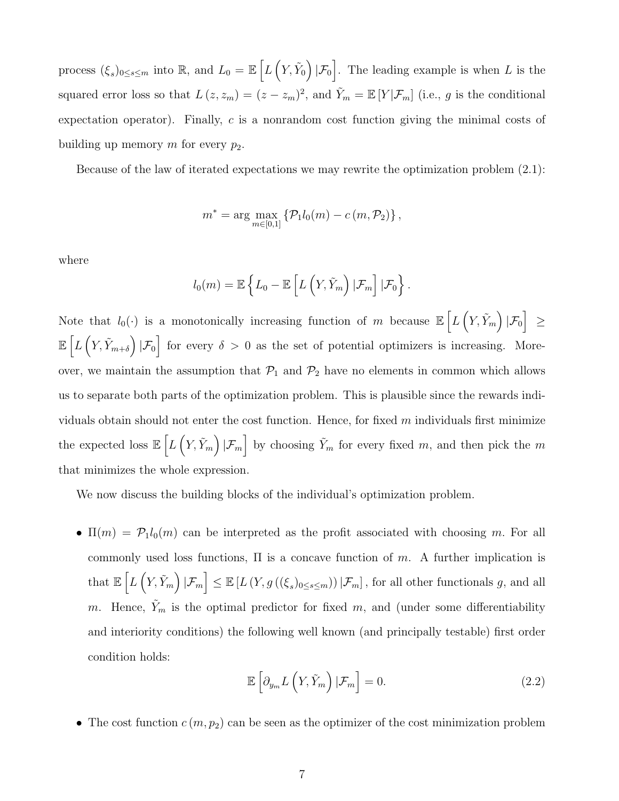process  $(\xi_s)_{0\leq s\leq m}$  into R, and  $L_0 = \mathbb{E}\left[L\left(Y,\tilde{Y}_0\right)|\mathcal{F}_0\right]$ . The leading example is when L is the squared error loss so that  $L(z, z_m) = (z - z_m)^2$ , and  $\tilde{Y}_m = \mathbb{E}[Y|\mathcal{F}_m]$  (i.e., g is the conditional expectation operator). Finally, c is a nonrandom cost function giving the minimal costs of building up memory m for every  $p_2$ .

Because of the law of iterated expectations we may rewrite the optimization problem (2.1):

$$
m^* = \arg \max_{m \in [0,1]} \{ \mathcal{P}_1 l_0(m) - c(m, \mathcal{P}_2) \},
$$

where

$$
l_0(m) = \mathbb{E}\left\{L_0 - \mathbb{E}\left[L\left(Y, \tilde{Y}_m\right) | \mathcal{F}_m\right] | \mathcal{F}_0\right\}.
$$

Note that  $l_0(\cdot)$  is a monotonically increasing function of m because  $\mathbb{E}\left[L\left(Y,\tilde{Y}_m\right)|\mathcal{F}_0\right] \geq$  $\mathbb{E}\left[L\left(Y,\tilde{Y}_{m+\delta}\right)|\mathcal{F}_0\right]$  for every  $\delta > 0$  as the set of potential optimizers is increasing. Moreover, we maintain the assumption that  $\mathcal{P}_1$  and  $\mathcal{P}_2$  have no elements in common which allows us to separate both parts of the optimization problem. This is plausible since the rewards individuals obtain should not enter the cost function. Hence, for fixed  $m$  individuals first minimize the expected loss  $\mathbb{E}\left[L\left(Y,\tilde{Y}_m\right)|\mathcal{F}_m\right]$  by choosing  $\tilde{Y}_m$  for every fixed m, and then pick the m that minimizes the whole expression.

We now discuss the building blocks of the individual's optimization problem.

•  $\Pi(m) = \mathcal{P}_1 l_0(m)$  can be interpreted as the profit associated with choosing m. For all commonly used loss functions,  $\Pi$  is a concave function of m. A further implication is  $\text{that } \mathbb{E}\left[L\left(Y,\tilde{Y}_m\right)|\mathcal{F}_m\right] \leq \mathbb{E}\left[L\left(Y,g\left((\xi_s)_{0\leq s\leq m}\right)\right)|\mathcal{F}_m\right], \text{ for all other functionals } g, \text{ and all }$ m. Hence,  $Y_m$  is the optimal predictor for fixed m, and (under some differentiability and interiority conditions) the following well known (and principally testable) first order condition holds:

$$
\mathbb{E}\left[\partial_{y_m} L\left(Y, \tilde{Y}_m\right) | \mathcal{F}_m\right] = 0. \tag{2.2}
$$

• The cost function  $c(m, p_2)$  can be seen as the optimizer of the cost minimization problem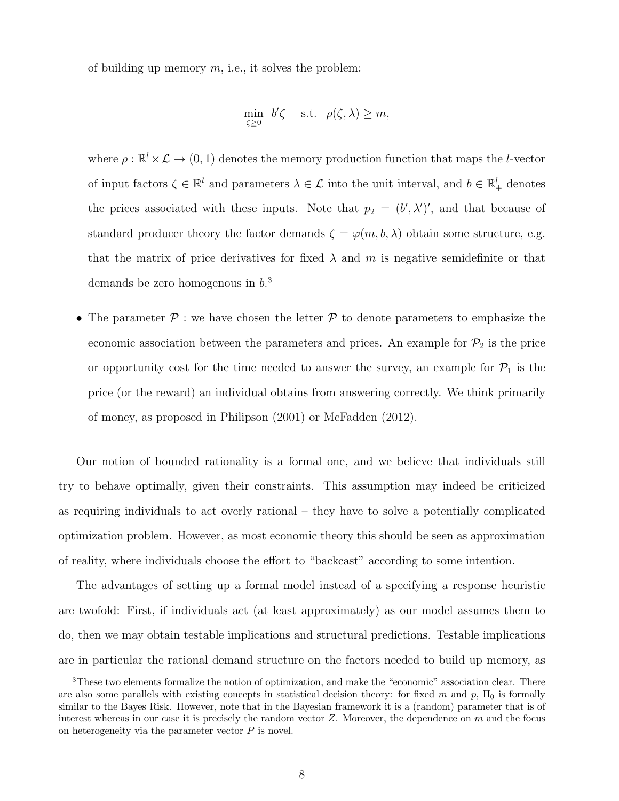of building up memory  $m$ , i.e., it solves the problem:

$$
\min_{\zeta \ge 0} b'\zeta \quad \text{s.t.} \quad \rho(\zeta, \lambda) \ge m,
$$

where  $\rho : \mathbb{R}^l \times \mathcal{L} \to (0, 1)$  denotes the memory production function that maps the *l*-vector of input factors  $\zeta \in \mathbb{R}^l$  and parameters  $\lambda \in \mathcal{L}$  into the unit interval, and  $b \in \mathbb{R}^l_+$  denotes the prices associated with these inputs. Note that  $p_2 = (b', \lambda')'$ , and that because of standard producer theory the factor demands  $\zeta = \varphi(m, b, \lambda)$  obtain some structure, e.g. that the matrix of price derivatives for fixed  $\lambda$  and m is negative semidefinite or that demands be zero homogenous in  $b<sup>3</sup>$ 

• The parameter  $P$ : we have chosen the letter  $P$  to denote parameters to emphasize the economic association between the parameters and prices. An example for  $\mathcal{P}_2$  is the price or opportunity cost for the time needed to answer the survey, an example for  $\mathcal{P}_1$  is the price (or the reward) an individual obtains from answering correctly. We think primarily of money, as proposed in Philipson (2001) or McFadden (2012).

Our notion of bounded rationality is a formal one, and we believe that individuals still try to behave optimally, given their constraints. This assumption may indeed be criticized as requiring individuals to act overly rational – they have to solve a potentially complicated optimization problem. However, as most economic theory this should be seen as approximation of reality, where individuals choose the effort to "backcast" according to some intention.

The advantages of setting up a formal model instead of a specifying a response heuristic are twofold: First, if individuals act (at least approximately) as our model assumes them to do, then we may obtain testable implications and structural predictions. Testable implications are in particular the rational demand structure on the factors needed to build up memory, as

<sup>&</sup>lt;sup>3</sup>These two elements formalize the notion of optimization, and make the "economic" association clear. There are also some parallels with existing concepts in statistical decision theory: for fixed m and p,  $\Pi_0$  is formally similar to the Bayes Risk. However, note that in the Bayesian framework it is a (random) parameter that is of interest whereas in our case it is precisely the random vector  $Z$ . Moreover, the dependence on  $m$  and the focus on heterogeneity via the parameter vector  $P$  is novel.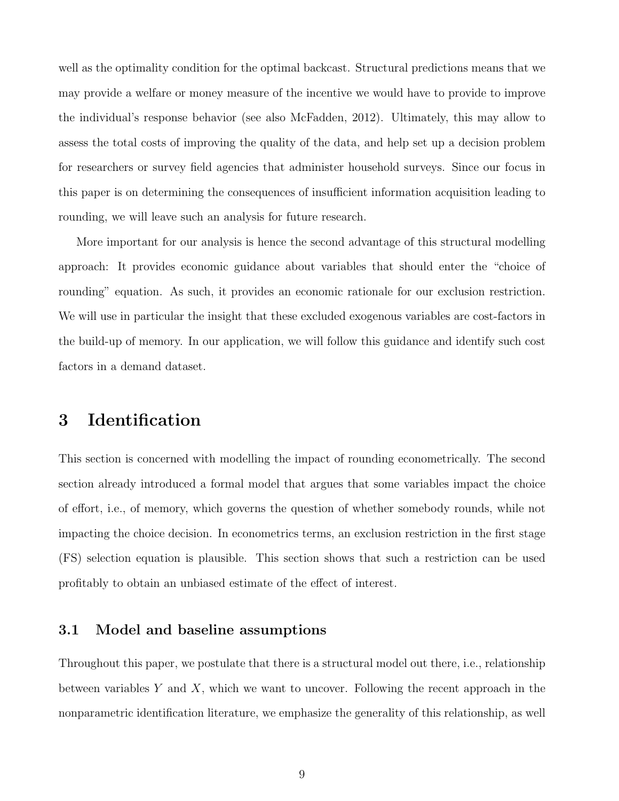well as the optimality condition for the optimal backcast. Structural predictions means that we may provide a welfare or money measure of the incentive we would have to provide to improve the individual's response behavior (see also McFadden, 2012). Ultimately, this may allow to assess the total costs of improving the quality of the data, and help set up a decision problem for researchers or survey field agencies that administer household surveys. Since our focus in this paper is on determining the consequences of insufficient information acquisition leading to rounding, we will leave such an analysis for future research.

More important for our analysis is hence the second advantage of this structural modelling approach: It provides economic guidance about variables that should enter the "choice of rounding" equation. As such, it provides an economic rationale for our exclusion restriction. We will use in particular the insight that these excluded exogenous variables are cost-factors in the build-up of memory. In our application, we will follow this guidance and identify such cost factors in a demand dataset.

## 3 Identification

This section is concerned with modelling the impact of rounding econometrically. The second section already introduced a formal model that argues that some variables impact the choice of effort, i.e., of memory, which governs the question of whether somebody rounds, while not impacting the choice decision. In econometrics terms, an exclusion restriction in the first stage (FS) selection equation is plausible. This section shows that such a restriction can be used profitably to obtain an unbiased estimate of the effect of interest.

## 3.1 Model and baseline assumptions

Throughout this paper, we postulate that there is a structural model out there, i.e., relationship between variables Y and X, which we want to uncover. Following the recent approach in the nonparametric identification literature, we emphasize the generality of this relationship, as well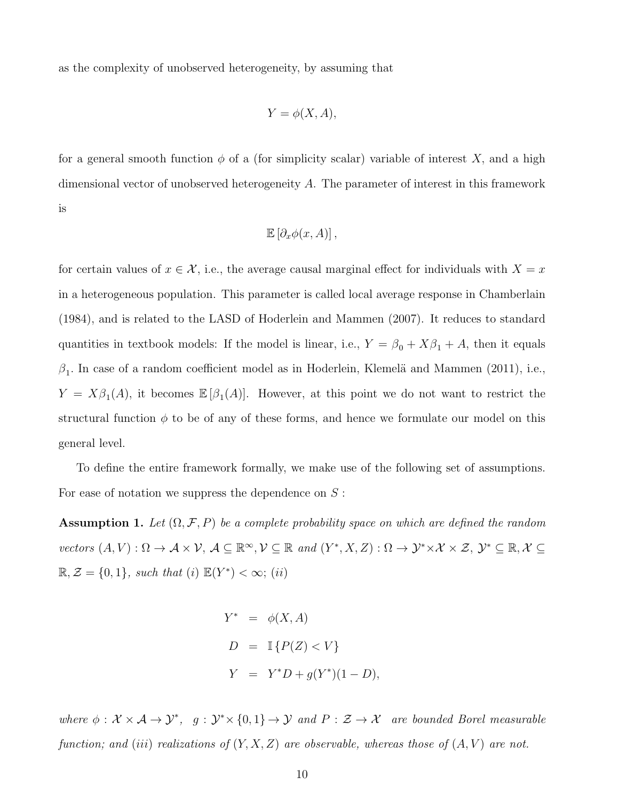as the complexity of unobserved heterogeneity, by assuming that

$$
Y = \phi(X, A),
$$

for a general smooth function  $\phi$  of a (for simplicity scalar) variable of interest X, and a high dimensional vector of unobserved heterogeneity A. The parameter of interest in this framework is

$$
\mathbb{E}\left[\partial_x \phi(x,A)\right],
$$

for certain values of  $x \in \mathcal{X}$ , i.e., the average causal marginal effect for individuals with  $X = x$ in a heterogeneous population. This parameter is called local average response in Chamberlain (1984), and is related to the LASD of Hoderlein and Mammen (2007). It reduces to standard quantities in textbook models: If the model is linear, i.e.,  $Y = \beta_0 + X\beta_1 + A$ , then it equals  $\beta_1$ . In case of a random coefficient model as in Hoderlein, Klemelä and Mammen (2011), i.e.,  $Y = X\beta_1(A)$ , it becomes  $\mathbb{E}[\beta_1(A)]$ . However, at this point we do not want to restrict the structural function  $\phi$  to be of any of these forms, and hence we formulate our model on this general level.

To define the entire framework formally, we make use of the following set of assumptions. For ease of notation we suppress the dependence on  $S$ :

**Assumption 1.** Let  $(\Omega, \mathcal{F}, P)$  be a complete probability space on which are defined the random vectors  $(A, V) : \Omega \to \mathcal{A} \times \mathcal{V}, A \subseteq \mathbb{R}^{\infty}, \mathcal{V} \subseteq \mathbb{R}$  and  $(Y^*, X, Z) : \Omega \to \mathcal{Y}^* \times \mathcal{X} \times \mathcal{Z}, \mathcal{Y}^* \subseteq \mathbb{R}, \mathcal{X} \subseteq \mathcal{V}$  $\mathbb{R}, \mathcal{Z} = \{0, 1\}$ , such that (i)  $\mathbb{E}(Y^*) < \infty$ ; (ii)

$$
Y^* = \phi(X, A)
$$
  
\n
$$
D = \mathbb{I}\left\{P(Z) < V\right\}
$$
  
\n
$$
Y = Y^*D + g(Y^*)(1 - D),
$$

where  $\phi: \mathcal{X} \times \mathcal{A} \to \mathcal{Y}^*, g: \mathcal{Y}^* \times \{0,1\} \to \mathcal{Y}$  and  $P: \mathcal{Z} \to \mathcal{X}$  are bounded Borel measurable function; and (iii) realizations of  $(Y, X, Z)$  are observable, whereas those of  $(A, V)$  are not.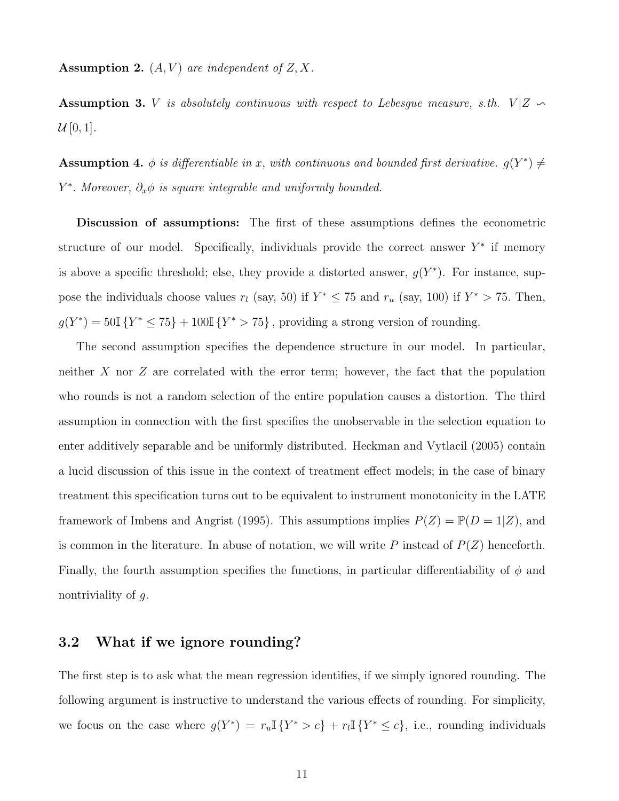**Assumption 2.**  $(A, V)$  are independent of  $Z, X$ .

Assumption 3. V is absolutely continuous with respect to Lebesgue measure, s.th.  $V|Z \sim$  $\mathcal{U}[0,1].$ 

**Assumption 4.**  $\phi$  is differentiable in x, with continuous and bounded first derivative.  $g(Y^*) \neq$  $Y^*$ . Moreover,  $\partial_x \phi$  is square integrable and uniformly bounded.

Discussion of assumptions: The first of these assumptions defines the econometric structure of our model. Specifically, individuals provide the correct answer  $Y^*$  if memory is above a specific threshold; else, they provide a distorted answer,  $g(Y^*)$ . For instance, suppose the individuals choose values  $r_l$  (say, 50) if  $Y^* \leq 75$  and  $r_u$  (say, 100) if  $Y^* > 75$ . Then,  $g(Y^*) = 50\mathbb{I} \{Y^* \le 75\} + 100\mathbb{I} \{Y^* > 75\}$ , providing a strong version of rounding.

The second assumption specifies the dependence structure in our model. In particular, neither  $X$  nor  $Z$  are correlated with the error term; however, the fact that the population who rounds is not a random selection of the entire population causes a distortion. The third assumption in connection with the first specifies the unobservable in the selection equation to enter additively separable and be uniformly distributed. Heckman and Vytlacil (2005) contain a lucid discussion of this issue in the context of treatment effect models; in the case of binary treatment this specification turns out to be equivalent to instrument monotonicity in the LATE framework of Imbens and Angrist (1995). This assumptions implies  $P(Z) = \mathbb{P}(D = 1|Z)$ , and is common in the literature. In abuse of notation, we will write P instead of  $P(Z)$  henceforth. Finally, the fourth assumption specifies the functions, in particular differentiability of  $\phi$  and nontriviality of g.

# 3.2 What if we ignore rounding?

The first step is to ask what the mean regression identifies, if we simply ignored rounding. The following argument is instructive to understand the various effects of rounding. For simplicity, we focus on the case where  $g(Y^*) = r_u \mathbb{I} \{Y^* > c\} + r_l \mathbb{I} \{Y^* \leq c\}$ , i.e., rounding individuals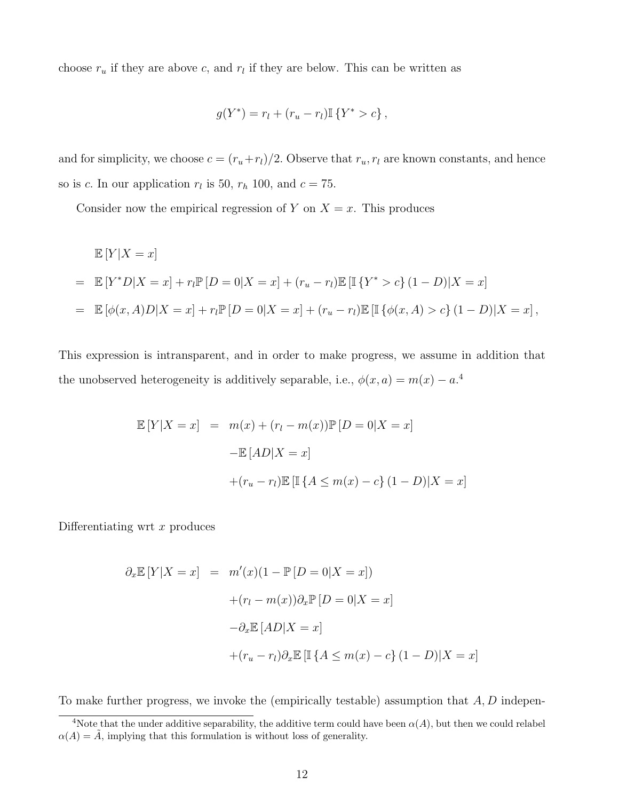choose  $r_u$  if they are above c, and  $r_l$  if they are below. This can be written as

$$
g(Y^*) = r_l + (r_u - r_l) \mathbb{I} \{ Y^* > c \},
$$

and for simplicity, we choose  $c = (r_u + r_l)/2$ . Observe that  $r_u, r_l$  are known constants, and hence so is c. In our application  $r_l$  is 50,  $r_h$  100, and  $c = 75$ .

Consider now the empirical regression of Y on  $X = x$ . This produces

$$
\mathbb{E}[Y|X=x]
$$
  
=  $\mathbb{E}[Y^*D|X=x] + r_l \mathbb{P}[D=0|X=x] + (r_u - r_l) \mathbb{E}[\mathbb{I}\{Y^* > c\}(1-D)|X=x]$   
=  $\mathbb{E}[\phi(x, A)D|X=x] + r_l \mathbb{P}[D=0|X=x] + (r_u - r_l) \mathbb{E}[\mathbb{I}\{\phi(x, A) > c\}(1-D)|X=x],$ 

This expression is intransparent, and in order to make progress, we assume in addition that the unobserved heterogeneity is additively separable, i.e.,  $\phi(x, a) = m(x) - a^{4}$ 

$$
\mathbb{E}[Y|X=x] = m(x) + (r_l - m(x))\mathbb{P}[D=0|X=x]
$$

$$
-\mathbb{E}[AD|X=x]
$$

$$
+(r_u - r_l)\mathbb{E}[\mathbb{I}\{A \le m(x) - c\}(1-D)|X=x]
$$

Differentiating wrt  $x$  produces

$$
\partial_x \mathbb{E}[Y|X=x] = m'(x)(1 - \mathbb{P}[D=0|X=x])
$$

$$
+(r_l - m(x))\partial_x \mathbb{P}[D=0|X=x]
$$

$$
-\partial_x \mathbb{E}[AD|X=x]
$$

$$
+(r_u - r_l)\partial_x \mathbb{E}[\mathbb{I}\{A \le m(x) - c\}(1-D)|X=x]
$$

To make further progress, we invoke the (empirically testable) assumption that  $A, D$  indepen-

<sup>&</sup>lt;sup>4</sup>Note that the under additive separability, the additive term could have been  $\alpha(A)$ , but then we could relabel  $\alpha(A) = \tilde{A}$ , implying that this formulation is without loss of generality.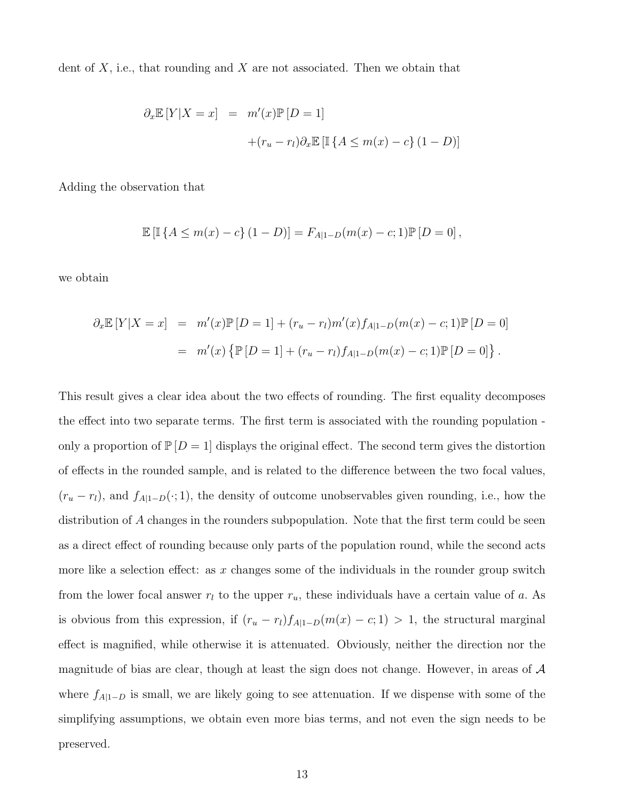dent of  $X$ , i.e., that rounding and  $X$  are not associated. Then we obtain that

$$
\partial_x \mathbb{E}[Y|X=x] = m'(x)\mathbb{P}[D=1]
$$

$$
+(r_u - r_l)\partial_x \mathbb{E}[\mathbb{I}\{A \le m(x) - c\}(1-D)]
$$

Adding the observation that

$$
\mathbb{E} [\mathbb{I} \{ A \le m(x) - c \} (1 - D)] = F_{A|1 - D}(m(x) - c; 1) \mathbb{P} [D = 0],
$$

we obtain

$$
\partial_x \mathbb{E}[Y|X=x] = m'(x)\mathbb{P}[D=1] + (r_u - r_l)m'(x)f_{A|1-D}(m(x) - c; 1)\mathbb{P}[D=0]
$$
  
=  $m'(x)\{\mathbb{P}[D=1] + (r_u - r_l)f_{A|1-D}(m(x) - c; 1)\mathbb{P}[D=0]\}.$ 

This result gives a clear idea about the two effects of rounding. The first equality decomposes the effect into two separate terms. The first term is associated with the rounding population only a proportion of  $\mathbb{P}[D = 1]$  displays the original effect. The second term gives the distortion of effects in the rounded sample, and is related to the difference between the two focal values,  $(r_u - r_l)$ , and  $f_{A|1-D}(\cdot; 1)$ , the density of outcome unobservables given rounding, i.e., how the distribution of A changes in the rounders subpopulation. Note that the first term could be seen as a direct effect of rounding because only parts of the population round, while the second acts more like a selection effect: as x changes some of the individuals in the rounder group switch from the lower focal answer  $r_l$  to the upper  $r_u$ , these individuals have a certain value of a. As is obvious from this expression, if  $(r_u - r_l)f_{A|1-D}(m(x) - c; 1) > 1$ , the structural marginal effect is magnified, while otherwise it is attenuated. Obviously, neither the direction nor the magnitude of bias are clear, though at least the sign does not change. However, in areas of  $\mathcal A$ where  $f_{A|1-D}$  is small, we are likely going to see attenuation. If we dispense with some of the simplifying assumptions, we obtain even more bias terms, and not even the sign needs to be preserved.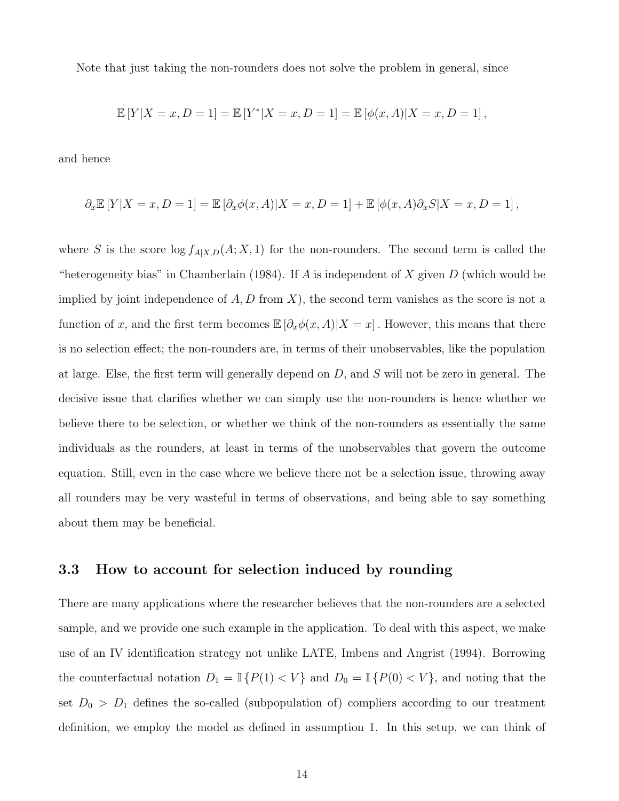Note that just taking the non-rounders does not solve the problem in general, since

$$
\mathbb{E}[Y|X=x, D=1] = \mathbb{E}[Y^*|X=x, D=1] = \mathbb{E}[\phi(x, A)|X=x, D=1],
$$

and hence

$$
\partial_x \mathbb{E}[Y|X=x, D=1] = \mathbb{E}[\partial_x \phi(x, A)|X=x, D=1] + \mathbb{E}[\phi(x, A)\partial_x S|X=x, D=1],
$$

where S is the score  $\log f_{A|X,D}(A; X, 1)$  for the non-rounders. The second term is called the "heterogeneity bias" in Chamberlain (1984). If A is independent of X given  $D$  (which would be implied by joint independence of  $A, D$  from X), the second term vanishes as the score is not a function of x, and the first term becomes  $\mathbb{E}[\partial_x \phi(x, A)|X = x]$ . However, this means that there is no selection effect; the non-rounders are, in terms of their unobservables, like the population at large. Else, the first term will generally depend on  $D$ , and  $S$  will not be zero in general. The decisive issue that clarifies whether we can simply use the non-rounders is hence whether we believe there to be selection, or whether we think of the non-rounders as essentially the same individuals as the rounders, at least in terms of the unobservables that govern the outcome equation. Still, even in the case where we believe there not be a selection issue, throwing away all rounders may be very wasteful in terms of observations, and being able to say something about them may be beneficial.

#### 3.3 How to account for selection induced by rounding

There are many applications where the researcher believes that the non-rounders are a selected sample, and we provide one such example in the application. To deal with this aspect, we make use of an IV identification strategy not unlike LATE, Imbens and Angrist (1994). Borrowing the counterfactual notation  $D_1 = \mathbb{I} \{P(1) < V\}$  and  $D_0 = \mathbb{I} \{P(0) < V\}$ , and noting that the set  $D_0 > D_1$  defines the so-called (subpopulation of) compliers according to our treatment definition, we employ the model as defined in assumption 1. In this setup, we can think of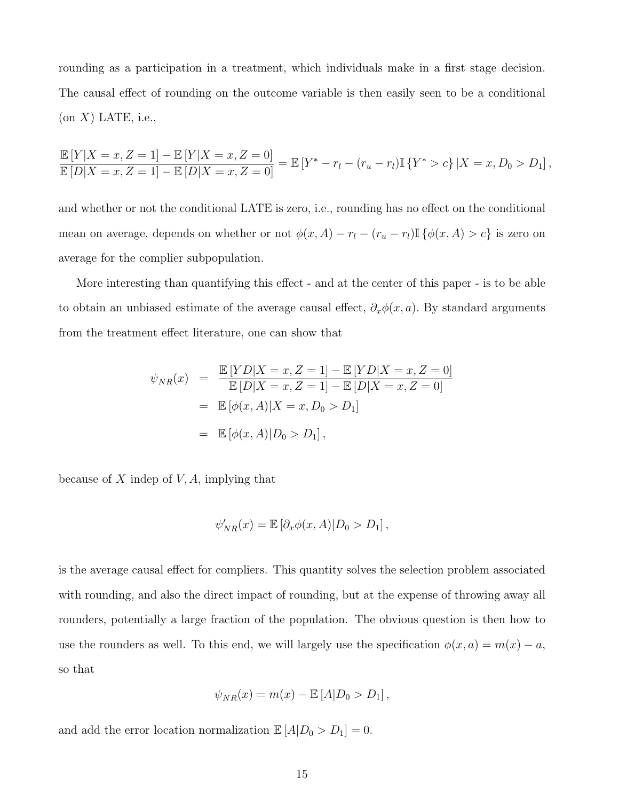rounding as a participation in a treatment, which individuals make in a first stage decision. The causal effect of rounding on the outcome variable is then easily seen to be a conditional  $($ on  $X)$  LATE, i.e.,

$$
\frac{\mathbb{E}[Y|X=x, Z=1] - \mathbb{E}[Y|X=x, Z=0]}{\mathbb{E}[D|X=x, Z=1] - \mathbb{E}[D|X=x, Z=0]} = \mathbb{E}[Y^* - r_l - (r_u - r_l)\mathbb{I}\{Y^* > c\} | X=x, D_0 > D_1],
$$

and whether or not the conditional LATE is zero, i.e., rounding has no effect on the conditional mean on average, depends on whether or not  $\phi(x, A) - r_l - (r_u - r_l) \mathbb{I} \{\phi(x, A) > c\}$  is zero on average for the complier subpopulation.

More interesting than quantifying this effect - and at the center of this paper - is to be able to obtain an unbiased estimate of the average causal effect,  $\partial_x \phi(x, a)$ . By standard arguments from the treatment effect literature, one can show that

$$
\psi_{NR}(x) = \frac{\mathbb{E}[YD|X=x, Z=1] - \mathbb{E}[YD|X=x, Z=0]}{\mathbb{E}[D|X=x, Z=1] - \mathbb{E}[D|X=x, Z=0]}
$$
  
=  $\mathbb{E}[\phi(x, A)|X=x, D_0 > D_1]$   
=  $\mathbb{E}[\phi(x, A)|D_0 > D_1],$ 

because of  $X$  indep of  $V, A$ , implying that

$$
\psi'_{NR}(x) = \mathbb{E}\left[\partial_x \phi(x, A)|D_0 > D_1\right],
$$

is the average causal effect for compliers. This quantity solves the selection problem associated with rounding, and also the direct impact of rounding, but at the expense of throwing away all rounders, potentially a large fraction of the population. The obvious question is then how to use the rounders as well. To this end, we will largely use the specification  $\phi(x, a) = m(x) - a$ , so that

$$
\psi_{NR}(x) = m(x) - \mathbb{E}\left[A|D_0 > D_1\right],
$$

and add the error location normalization  $\mathbb{E}[A|D_0 > D_1] = 0$ .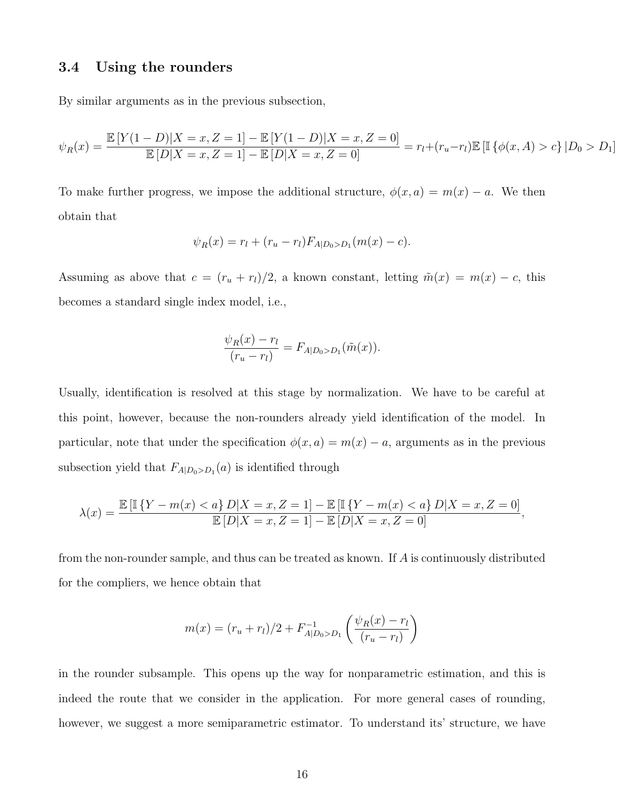#### 3.4 Using the rounders

By similar arguments as in the previous subsection,

$$
\psi_R(x) = \frac{\mathbb{E}\left[Y(1-D)|X=x,Z=1\right] - \mathbb{E}\left[Y(1-D)|X=x,Z=0\right]}{\mathbb{E}\left[D|X=x,Z=1\right] - \mathbb{E}\left[D|X=x,Z=0\right]} = r_l + (r_u - r_l)\mathbb{E}\left[\mathbb{I}\left\{\phi(x,A) > c\right\}|D_0 > D_1\right]
$$

To make further progress, we impose the additional structure,  $\phi(x, a) = m(x) - a$ . We then obtain that

$$
\psi_R(x) = r_l + (r_u - r_l) F_{A|D_0 > D_1}(m(x) - c).
$$

Assuming as above that  $c = (r_u + r_l)/2$ , a known constant, letting  $\tilde{m}(x) = m(x) - c$ , this becomes a standard single index model, i.e.,

$$
\frac{\psi_R(x) - r_l}{(r_u - r_l)} = F_{A|D_0 > D_1}(\tilde{m}(x)).
$$

Usually, identification is resolved at this stage by normalization. We have to be careful at this point, however, because the non-rounders already yield identification of the model. In particular, note that under the specification  $\phi(x, a) = m(x) - a$ , arguments as in the previous subsection yield that  $F_{A|D_0>D_1}(a)$  is identified through

$$
\lambda(x)=\frac{\mathbb{E}\left[\mathbb{I}\left\{Y-m(x)
$$

from the non-rounder sample, and thus can be treated as known. If A is continuously distributed for the compliers, we hence obtain that

$$
m(x) = (r_u + r_l)/2 + F_{A|D_0 > D_1}^{-1} \left( \frac{\psi_R(x) - r_l}{(r_u - r_l)} \right)
$$

in the rounder subsample. This opens up the way for nonparametric estimation, and this is indeed the route that we consider in the application. For more general cases of rounding, however, we suggest a more semiparametric estimator. To understand its' structure, we have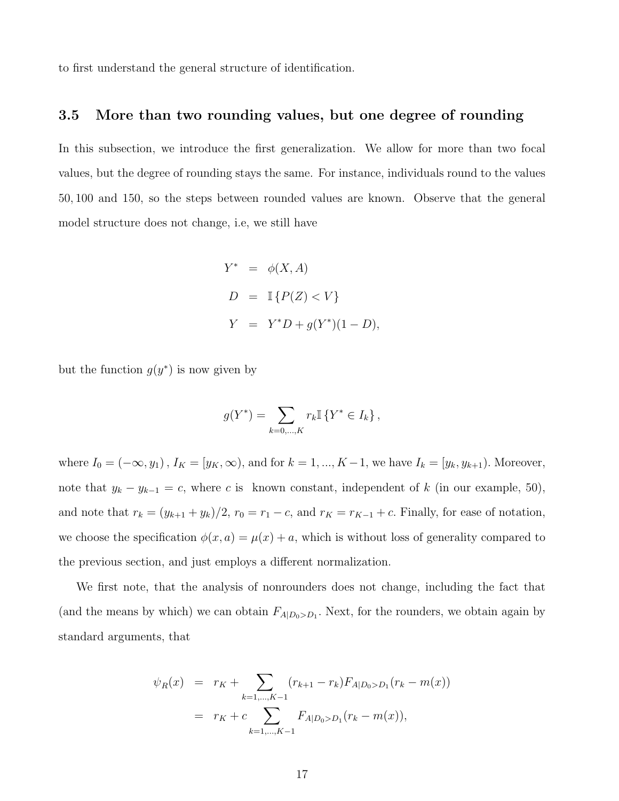to first understand the general structure of identification.

#### 3.5 More than two rounding values, but one degree of rounding

In this subsection, we introduce the first generalization. We allow for more than two focal values, but the degree of rounding stays the same. For instance, individuals round to the values 50, 100 and 150, so the steps between rounded values are known. Observe that the general model structure does not change, i.e, we still have

$$
Y^* = \phi(X, A)
$$
  
\n
$$
D = \mathbb{I}\left\{P(Z) < V\right\}
$$
  
\n
$$
Y = Y^*D + g(Y^*)(1 - D),
$$

but the function  $g(y^*)$  is now given by

$$
g(Y^*) = \sum_{k=0,\dots,K} r_k \mathbb{I} \left\{ Y^* \in I_k \right\},\
$$

where  $I_0 = (-\infty, y_1)$ ,  $I_K = [y_K, \infty)$ , and for  $k = 1, ..., K - 1$ , we have  $I_k = [y_k, y_{k+1})$ . Moreover, note that  $y_k - y_{k-1} = c$ , where c is known constant, independent of k (in our example, 50), and note that  $r_k = (y_{k+1} + y_k)/2$ ,  $r_0 = r_1 - c$ , and  $r_K = r_{K-1} + c$ . Finally, for ease of notation, we choose the specification  $\phi(x, a) = \mu(x) + a$ , which is without loss of generality compared to the previous section, and just employs a different normalization.

We first note, that the analysis of nonrounders does not change, including the fact that (and the means by which) we can obtain  $F_{A|D_0>D_1}$ . Next, for the rounders, we obtain again by standard arguments, that

$$
\psi_R(x) = r_K + \sum_{k=1,\dots,K-1} (r_{k+1} - r_k) F_{A|D_0 > D_1}(r_k - m(x))
$$
  
=  $r_K + c \sum_{k=1,\dots,K-1} F_{A|D_0 > D_1}(r_k - m(x)),$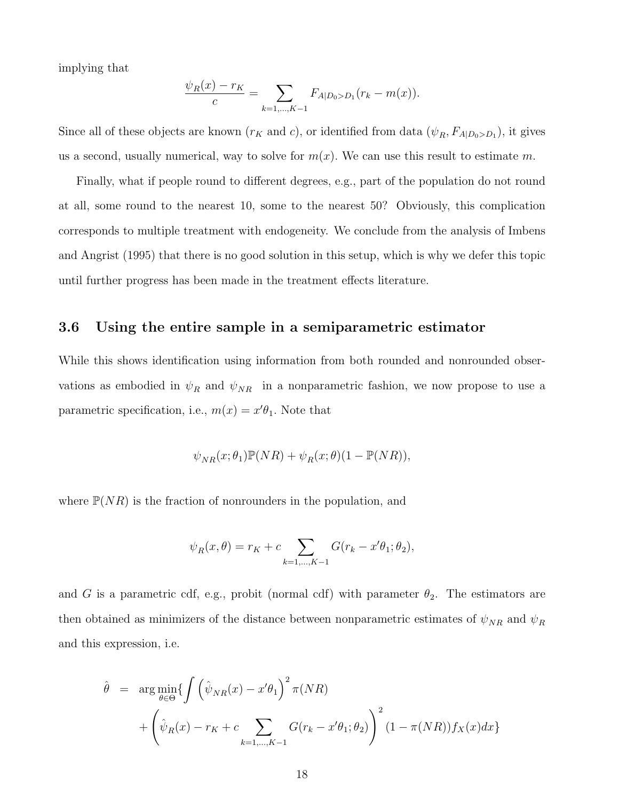implying that

$$
\frac{\psi_R(x) - r_K}{c} = \sum_{k=1,\dots,K-1} F_{A|D_0 > D_1}(r_k - m(x)).
$$

Since all of these objects are known  $(r_K$  and c), or identified from data  $(\psi_R, F_{A|D_0>D_1})$ , it gives us a second, usually numerical, way to solve for  $m(x)$ . We can use this result to estimate m.

Finally, what if people round to different degrees, e.g., part of the population do not round at all, some round to the nearest 10, some to the nearest 50? Obviously, this complication corresponds to multiple treatment with endogeneity. We conclude from the analysis of Imbens and Angrist (1995) that there is no good solution in this setup, which is why we defer this topic until further progress has been made in the treatment effects literature.

### 3.6 Using the entire sample in a semiparametric estimator

While this shows identification using information from both rounded and nonrounded observations as embodied in  $\psi_R$  and  $\psi_{NR}$  in a nonparametric fashion, we now propose to use a parametric specification, i.e.,  $m(x) = x'\theta_1$ . Note that

$$
\psi_{NR}(x;\theta_1)\mathbb{P}(NR) + \psi_R(x;\theta)(1-\mathbb{P}(NR)),
$$

where  $\mathbb{P}(NR)$  is the fraction of nonrounders in the population, and

$$
\psi_R(x,\theta) = r_K + c \sum_{k=1,\dots,K-1} G(r_k - x'\theta_1; \theta_2),
$$

and G is a parametric cdf, e.g., probit (normal cdf) with parameter  $\theta_2$ . The estimators are then obtained as minimizers of the distance between nonparametric estimates of  $\psi_{NR}$  and  $\psi_R$ and this expression, i.e.

$$
\hat{\theta} = \arg \min_{\theta \in \Theta} \{ \int \left( \hat{\psi}_{NR}(x) - x'\theta_1 \right)^2 \pi(NR) + \left( \hat{\psi}_R(x) - r_K + c \sum_{k=1,\dots,K-1} G(r_k - x'\theta_1; \theta_2) \right)^2 (1 - \pi(NR)) f_X(x) dx \}
$$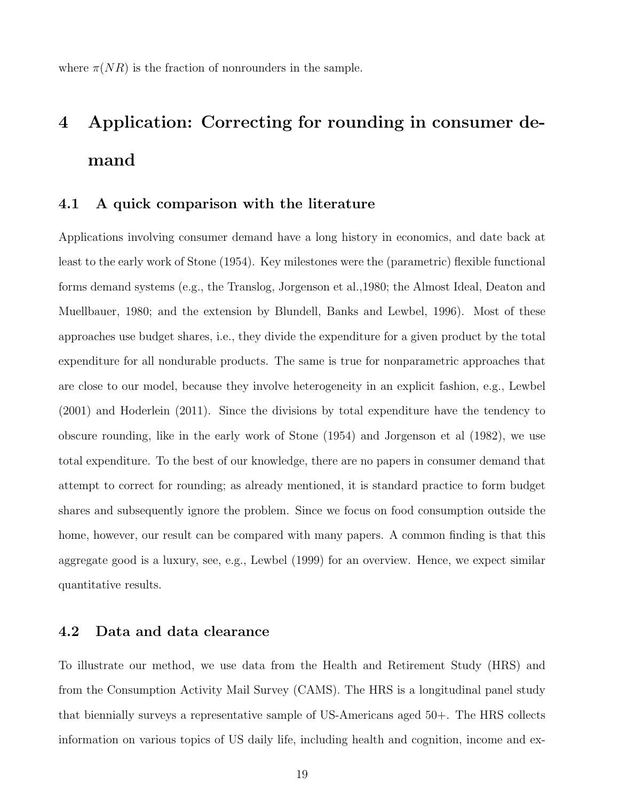where  $\pi(NR)$  is the fraction of nonrounders in the sample.

# 4 Application: Correcting for rounding in consumer demand

### 4.1 A quick comparison with the literature

Applications involving consumer demand have a long history in economics, and date back at least to the early work of Stone (1954). Key milestones were the (parametric) flexible functional forms demand systems (e.g., the Translog, Jorgenson et al.,1980; the Almost Ideal, Deaton and Muellbauer, 1980; and the extension by Blundell, Banks and Lewbel, 1996). Most of these approaches use budget shares, i.e., they divide the expenditure for a given product by the total expenditure for all nondurable products. The same is true for nonparametric approaches that are close to our model, because they involve heterogeneity in an explicit fashion, e.g., Lewbel (2001) and Hoderlein (2011). Since the divisions by total expenditure have the tendency to obscure rounding, like in the early work of Stone (1954) and Jorgenson et al (1982), we use total expenditure. To the best of our knowledge, there are no papers in consumer demand that attempt to correct for rounding; as already mentioned, it is standard practice to form budget shares and subsequently ignore the problem. Since we focus on food consumption outside the home, however, our result can be compared with many papers. A common finding is that this aggregate good is a luxury, see, e.g., Lewbel (1999) for an overview. Hence, we expect similar quantitative results.

## 4.2 Data and data clearance

To illustrate our method, we use data from the Health and Retirement Study (HRS) and from the Consumption Activity Mail Survey (CAMS). The HRS is a longitudinal panel study that biennially surveys a representative sample of US-Americans aged 50+. The HRS collects information on various topics of US daily life, including health and cognition, income and ex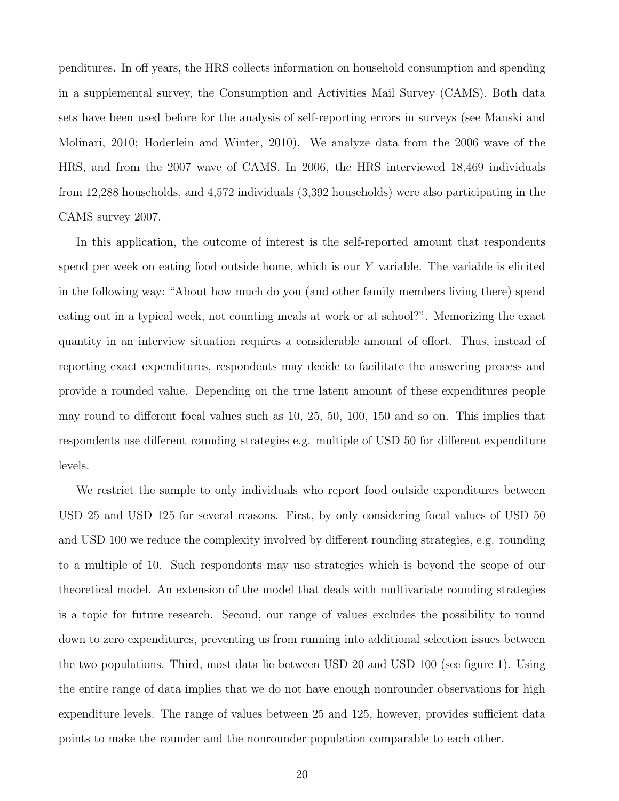penditures. In off years, the HRS collects information on household consumption and spending in a supplemental survey, the Consumption and Activities Mail Survey (CAMS). Both data sets have been used before for the analysis of self-reporting errors in surveys (see Manski and Molinari, 2010; Hoderlein and Winter, 2010). We analyze data from the 2006 wave of the HRS, and from the 2007 wave of CAMS. In 2006, the HRS interviewed 18,469 individuals from 12,288 households, and 4,572 individuals (3,392 households) were also participating in the CAMS survey 2007.

In this application, the outcome of interest is the self-reported amount that respondents spend per week on eating food outside home, which is our Y variable. The variable is elicited in the following way: "About how much do you (and other family members living there) spend eating out in a typical week, not counting meals at work or at school?". Memorizing the exact quantity in an interview situation requires a considerable amount of effort. Thus, instead of reporting exact expenditures, respondents may decide to facilitate the answering process and provide a rounded value. Depending on the true latent amount of these expenditures people may round to different focal values such as 10, 25, 50, 100, 150 and so on. This implies that respondents use different rounding strategies e.g. multiple of USD 50 for different expenditure levels.

We restrict the sample to only individuals who report food outside expenditures between USD 25 and USD 125 for several reasons. First, by only considering focal values of USD 50 and USD 100 we reduce the complexity involved by different rounding strategies, e.g. rounding to a multiple of 10. Such respondents may use strategies which is beyond the scope of our theoretical model. An extension of the model that deals with multivariate rounding strategies is a topic for future research. Second, our range of values excludes the possibility to round down to zero expenditures, preventing us from running into additional selection issues between the two populations. Third, most data lie between USD 20 and USD 100 (see figure 1). Using the entire range of data implies that we do not have enough nonrounder observations for high expenditure levels. The range of values between 25 and 125, however, provides sufficient data points to make the rounder and the nonrounder population comparable to each other.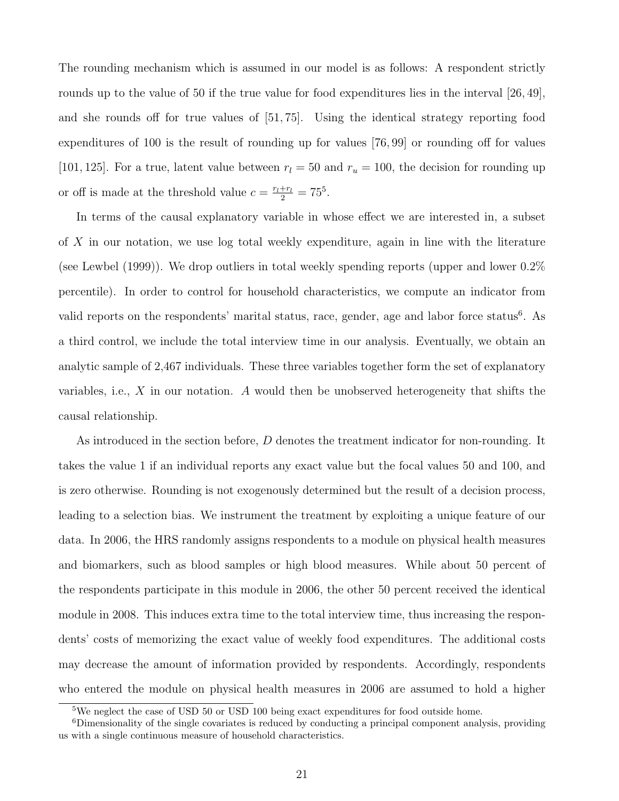The rounding mechanism which is assumed in our model is as follows: A respondent strictly rounds up to the value of 50 if the true value for food expenditures lies in the interval [26, 49], and she rounds off for true values of [51, 75]. Using the identical strategy reporting food expenditures of 100 is the result of rounding up for values [76, 99] or rounding off for values [101, 125]. For a true, latent value between  $r_l = 50$  and  $r_u = 100$ , the decision for rounding up or off is made at the threshold value  $c = \frac{r_l + r_l}{2} = 75^5$ .

In terms of the causal explanatory variable in whose effect we are interested in, a subset of X in our notation, we use log total weekly expenditure, again in line with the literature (see Lewbel (1999)). We drop outliers in total weekly spending reports (upper and lower 0.2% percentile). In order to control for household characteristics, we compute an indicator from valid reports on the respondents' marital status, race, gender, age and labor force status<sup>6</sup>. As a third control, we include the total interview time in our analysis. Eventually, we obtain an analytic sample of 2,467 individuals. These three variables together form the set of explanatory variables, i.e.,  $X$  in our notation. A would then be unobserved heterogeneity that shifts the causal relationship.

As introduced in the section before, D denotes the treatment indicator for non-rounding. It takes the value 1 if an individual reports any exact value but the focal values 50 and 100, and is zero otherwise. Rounding is not exogenously determined but the result of a decision process, leading to a selection bias. We instrument the treatment by exploiting a unique feature of our data. In 2006, the HRS randomly assigns respondents to a module on physical health measures and biomarkers, such as blood samples or high blood measures. While about 50 percent of the respondents participate in this module in 2006, the other 50 percent received the identical module in 2008. This induces extra time to the total interview time, thus increasing the respondents' costs of memorizing the exact value of weekly food expenditures. The additional costs may decrease the amount of information provided by respondents. Accordingly, respondents who entered the module on physical health measures in 2006 are assumed to hold a higher

<sup>5</sup>We neglect the case of USD 50 or USD 100 being exact expenditures for food outside home.

<sup>6</sup>Dimensionality of the single covariates is reduced by conducting a principal component analysis, providing us with a single continuous measure of household characteristics.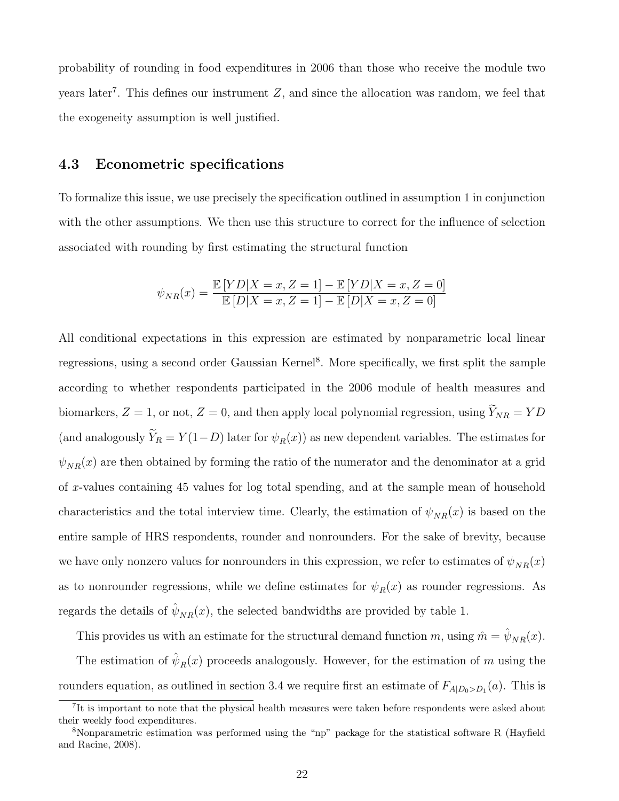probability of rounding in food expenditures in 2006 than those who receive the module two years later<sup>7</sup>. This defines our instrument  $Z$ , and since the allocation was random, we feel that the exogeneity assumption is well justified.

### 4.3 Econometric specifications

To formalize this issue, we use precisely the specification outlined in assumption 1 in conjunction with the other assumptions. We then use this structure to correct for the influence of selection associated with rounding by first estimating the structural function

$$
\psi_{NR}(x) = \frac{\mathbb{E}[YD|X=x, Z=1] - \mathbb{E}[YD|X=x, Z=0]}{\mathbb{E}[D|X=x, Z=1] - \mathbb{E}[D|X=x, Z=0]}
$$

All conditional expectations in this expression are estimated by nonparametric local linear regressions, using a second order Gaussian Kernel<sup>8</sup>. More specifically, we first split the sample according to whether respondents participated in the 2006 module of health measures and biomarkers,  $Z = 1$ , or not,  $Z = 0$ , and then apply local polynomial regression, using  $\widetilde{Y}_{NR} = YD$ (and analogously  $\widetilde{Y}_R = Y(1-D)$  later for  $\psi_R(x)$ ) as new dependent variables. The estimates for  $\psi_{NR}(x)$  are then obtained by forming the ratio of the numerator and the denominator at a grid of x-values containing 45 values for log total spending, and at the sample mean of household characteristics and the total interview time. Clearly, the estimation of  $\psi_{NR}(x)$  is based on the entire sample of HRS respondents, rounder and nonrounders. For the sake of brevity, because we have only nonzero values for nonrounders in this expression, we refer to estimates of  $\psi_{NR}(x)$ as to nonrounder regressions, while we define estimates for  $\psi_R(x)$  as rounder regressions. As regards the details of  $\hat{\psi}_{NR}(x)$ , the selected bandwidths are provided by table 1.

This provides us with an estimate for the structural demand function m, using  $\hat{m} = \hat{\psi}_{NR}(x)$ .

The estimation of  $\hat{\psi}_R(x)$  proceeds analogously. However, for the estimation of m using the rounders equation, as outlined in section 3.4 we require first an estimate of  $F_{A|D_0>D_1}(a)$ . This is

<sup>&</sup>lt;sup>7</sup>It is important to note that the physical health measures were taken before respondents were asked about their weekly food expenditures.

<sup>8</sup>Nonparametric estimation was performed using the "np" package for the statistical software R (Hayfield and Racine, 2008).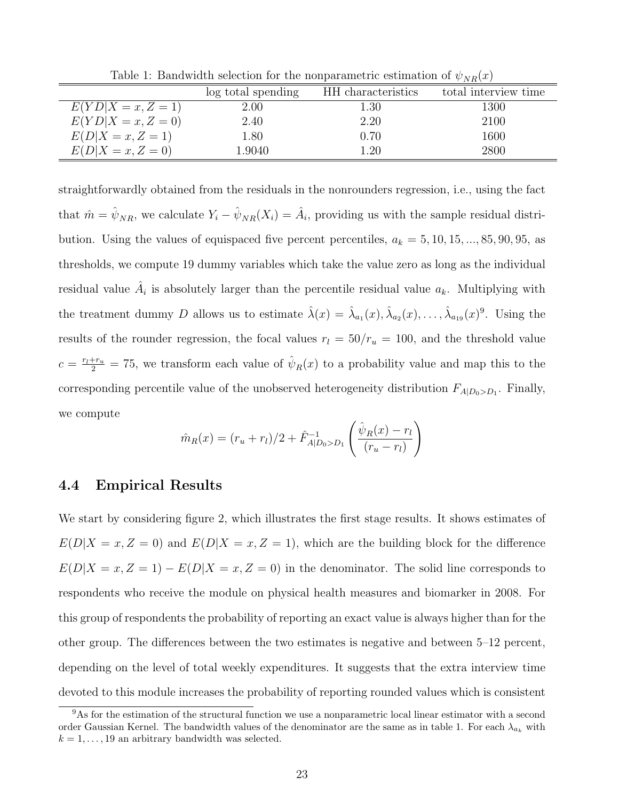Table 1: Bandwidth selection for the nonparametric estimation of  $\psi_{NR}(x)$ 

|                      | log total spending | HH characteristics | total interview time |
|----------------------|--------------------|--------------------|----------------------|
| $E(YD X=x, Z=1)$     | 2.00               | 1.30               | 1300                 |
| $E(YD X = x, Z = 0)$ | 2.40               | 2.20               | 2100                 |
| $E(D X=x, Z=1)$      | 1.80               | 0.70               | 1600                 |
| $E(D X=x, Z=0)$      | 1.9040             | 1.20               | 2800                 |

straightforwardly obtained from the residuals in the nonrounders regression, i.e., using the fact that  $\hat{m} = \hat{\psi}_{NR}$ , we calculate  $Y_i - \hat{\psi}_{NR}(X_i) = \hat{A}_i$ , providing us with the sample residual distribution. Using the values of equispaced five percent percentiles,  $a_k = 5, 10, 15, ..., 85, 90, 95$ , as thresholds, we compute 19 dummy variables which take the value zero as long as the individual residual value  $\hat{A}_i$  is absolutely larger than the percentile residual value  $a_k$ . Multiplying with the treatment dummy D allows us to estimate  $\hat{\lambda}(x) = \hat{\lambda}_{a_1}(x), \hat{\lambda}_{a_2}(x), \dots, \hat{\lambda}_{a_{19}}(x)^9$ . Using the results of the rounder regression, the focal values  $r_l = 50/r_u = 100$ , and the threshold value  $c = \frac{r_l + r_u}{2} = 75$ , we transform each value of  $\hat{\psi}_R(x)$  to a probability value and map this to the corresponding percentile value of the unobserved heterogeneity distribution  $F_{A|D_0>D_1}$ . Finally, we compute

$$
\hat{m}_R(x) = (r_u + r_l)/2 + \hat{F}_{A|D_0 > D_1}^{-1} \left( \frac{\hat{\psi}_R(x) - r_l}{(r_u - r_l)} \right)
$$

#### 4.4 Empirical Results

We start by considering figure 2, which illustrates the first stage results. It shows estimates of  $E(D|X=x, Z=0)$  and  $E(D|X=x, Z=1)$ , which are the building block for the difference  $E(D|X=x, Z=1) - E(D|X=x, Z=0)$  in the denominator. The solid line corresponds to respondents who receive the module on physical health measures and biomarker in 2008. For this group of respondents the probability of reporting an exact value is always higher than for the other group. The differences between the two estimates is negative and between 5–12 percent, depending on the level of total weekly expenditures. It suggests that the extra interview time devoted to this module increases the probability of reporting rounded values which is consistent

<sup>&</sup>lt;sup>9</sup>As for the estimation of the structural function we use a nonparametric local linear estimator with a second order Gaussian Kernel. The bandwidth values of the denominator are the same as in table 1. For each  $\lambda_{a_k}$  with  $k = 1, \ldots, 19$  an arbitrary bandwidth was selected.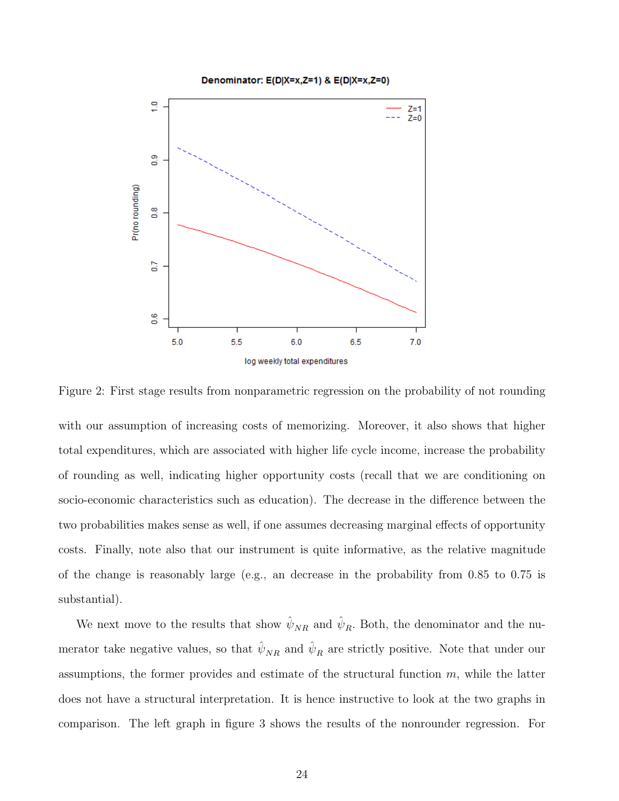



Figure 2: First stage results from nonparametric regression on the probability of not rounding

with our assumption of increasing costs of memorizing. Moreover, it also shows that higher total expenditures, which are associated with higher life cycle income, increase the probability of rounding as well, indicating higher opportunity costs (recall that we are conditioning on socio-economic characteristics such as education). The decrease in the difference between the two probabilities makes sense as well, if one assumes decreasing marginal effects of opportunity costs. Finally, note also that our instrument is quite informative, as the relative magnitude of the change is reasonably large (e.g., an decrease in the probability from 0.85 to 0.75 is substantial).

We next move to the results that show  $\hat{\psi}_{NR}$  and  $\hat{\psi}_R$ . Both, the denominator and the numerator take negative values, so that  $\hat{\psi}_{NR}$  and  $\hat{\psi}_R$  are strictly positive. Note that under our assumptions, the former provides and estimate of the structural function  $m$ , while the latter does not have a structural interpretation. It is hence instructive to look at the two graphs in comparison. The left graph in figure 3 shows the results of the nonrounder regression. For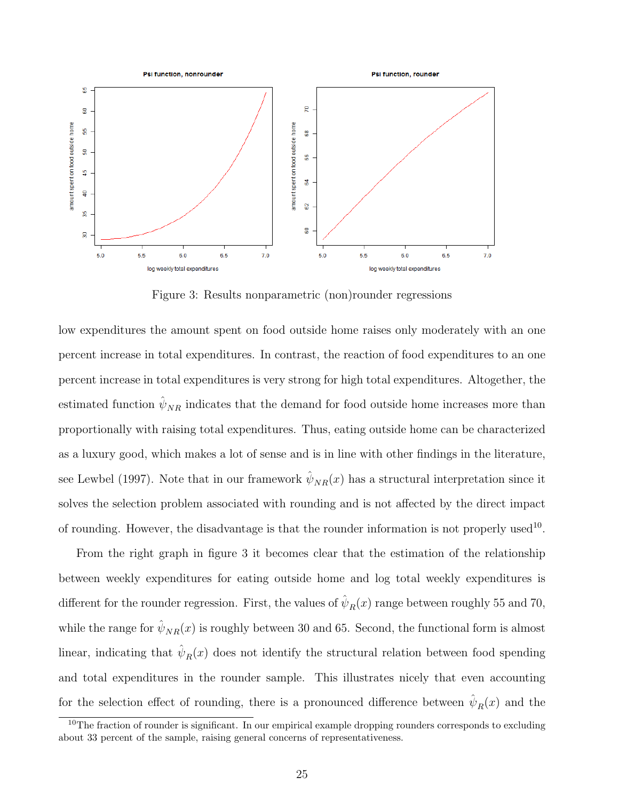

Figure 3: Results nonparametric (non)rounder regressions

low expenditures the amount spent on food outside home raises only moderately with an one percent increase in total expenditures. In contrast, the reaction of food expenditures to an one percent increase in total expenditures is very strong for high total expenditures. Altogether, the estimated function  $\hat{\psi}_{NR}$  indicates that the demand for food outside home increases more than proportionally with raising total expenditures. Thus, eating outside home can be characterized as a luxury good, which makes a lot of sense and is in line with other findings in the literature, see Lewbel (1997). Note that in our framework  $\hat{\psi}_{NR}(x)$  has a structural interpretation since it solves the selection problem associated with rounding and is not affected by the direct impact of rounding. However, the disadvantage is that the rounder information is not properly used<sup>10</sup>.

From the right graph in figure 3 it becomes clear that the estimation of the relationship between weekly expenditures for eating outside home and log total weekly expenditures is different for the rounder regression. First, the values of  $\hat{\psi}_R(x)$  range between roughly 55 and 70, while the range for  $\hat{\psi}_{NR}(x)$  is roughly between 30 and 65. Second, the functional form is almost linear, indicating that  $\hat{\psi}_R(x)$  does not identify the structural relation between food spending and total expenditures in the rounder sample. This illustrates nicely that even accounting for the selection effect of rounding, there is a pronounced difference between  $\hat{\psi}_R(x)$  and the

<sup>&</sup>lt;sup>10</sup>The fraction of rounder is significant. In our empirical example dropping rounders corresponds to excluding about 33 percent of the sample, raising general concerns of representativeness.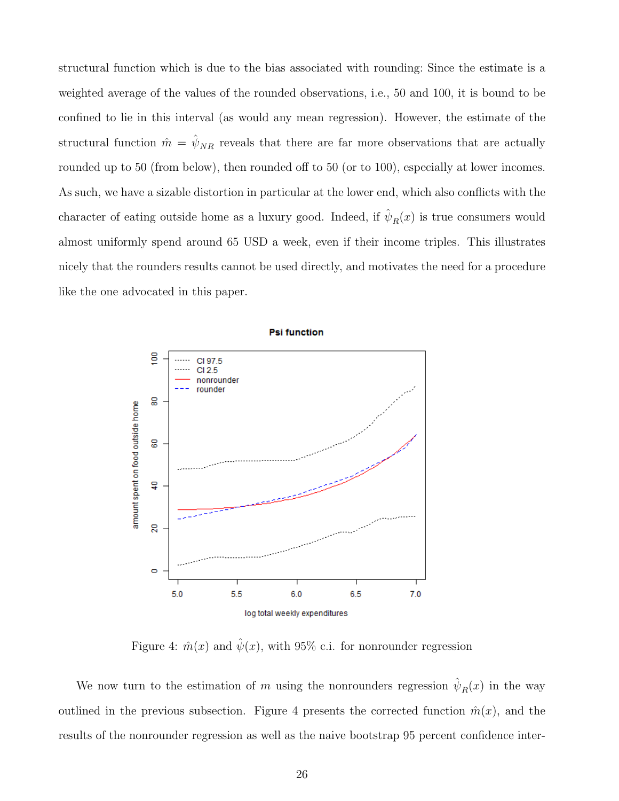structural function which is due to the bias associated with rounding: Since the estimate is a weighted average of the values of the rounded observations, i.e., 50 and 100, it is bound to be confined to lie in this interval (as would any mean regression). However, the estimate of the structural function  $\hat{m} = \hat{\psi}_{NR}$  reveals that there are far more observations that are actually rounded up to 50 (from below), then rounded off to 50 (or to 100), especially at lower incomes. As such, we have a sizable distortion in particular at the lower end, which also conflicts with the character of eating outside home as a luxury good. Indeed, if  $\hat{\psi}_R(x)$  is true consumers would almost uniformly spend around 65 USD a week, even if their income triples. This illustrates nicely that the rounders results cannot be used directly, and motivates the need for a procedure like the one advocated in this paper.



**Psi function** 

Figure 4:  $\hat{m}(x)$  and  $\hat{\psi}(x)$ , with 95% c.i. for nonrounder regression

We now turn to the estimation of m using the nonrounders regression  $\hat{\psi}_R(x)$  in the way outlined in the previous subsection. Figure 4 presents the corrected function  $\hat{m}(x)$ , and the results of the nonrounder regression as well as the naive bootstrap 95 percent confidence inter-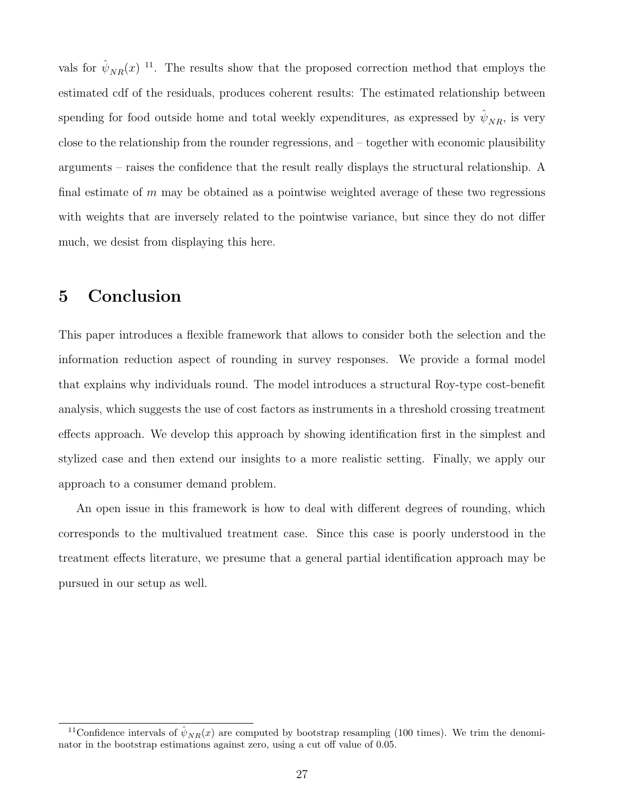vals for  $\hat{\psi}_{NR}(x)^{-11}$ . The results show that the proposed correction method that employs the estimated cdf of the residuals, produces coherent results: The estimated relationship between spending for food outside home and total weekly expenditures, as expressed by  $\hat{\psi}_{NR}$ , is very close to the relationship from the rounder regressions, and – together with economic plausibility arguments – raises the confidence that the result really displays the structural relationship. A final estimate of  $m$  may be obtained as a pointwise weighted average of these two regressions with weights that are inversely related to the pointwise variance, but since they do not differ much, we desist from displaying this here.

# 5 Conclusion

This paper introduces a flexible framework that allows to consider both the selection and the information reduction aspect of rounding in survey responses. We provide a formal model that explains why individuals round. The model introduces a structural Roy-type cost-benefit analysis, which suggests the use of cost factors as instruments in a threshold crossing treatment effects approach. We develop this approach by showing identification first in the simplest and stylized case and then extend our insights to a more realistic setting. Finally, we apply our approach to a consumer demand problem.

An open issue in this framework is how to deal with different degrees of rounding, which corresponds to the multivalued treatment case. Since this case is poorly understood in the treatment effects literature, we presume that a general partial identification approach may be pursued in our setup as well.

<sup>&</sup>lt;sup>11</sup>Confidence intervals of  $\hat{\psi}_{NR}(x)$  are computed by bootstrap resampling (100 times). We trim the denominator in the bootstrap estimations against zero, using a cut off value of 0.05.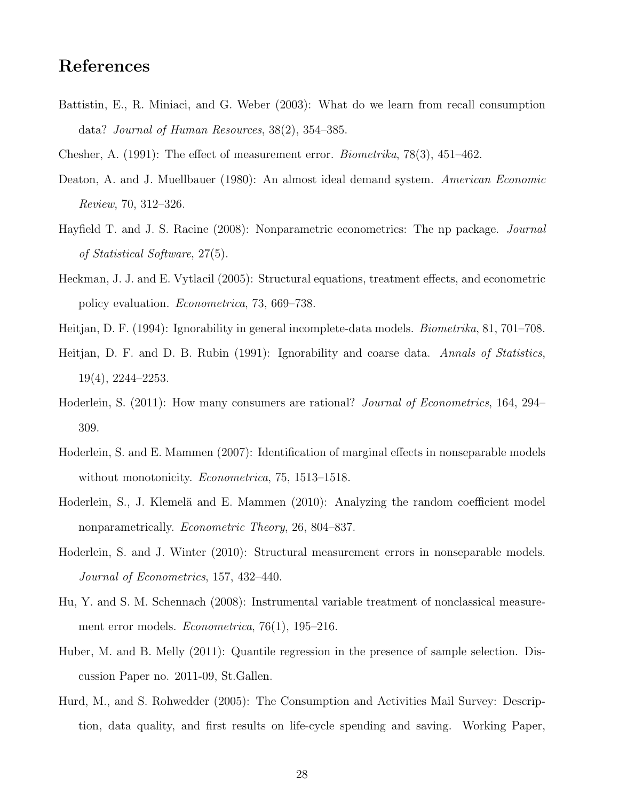## References

- Battistin, E., R. Miniaci, and G. Weber (2003): What do we learn from recall consumption data? Journal of Human Resources, 38(2), 354–385.
- Chesher, A. (1991): The effect of measurement error. Biometrika, 78(3), 451–462.
- Deaton, A. and J. Muellbauer (1980): An almost ideal demand system. American Economic Review, 70, 312–326.
- Hayfield T. and J. S. Racine (2008): Nonparametric econometrics: The np package. Journal of Statistical Software, 27(5).
- Heckman, J. J. and E. Vytlacil (2005): Structural equations, treatment effects, and econometric policy evaluation. Econometrica, 73, 669–738.
- Heitjan, D. F. (1994): Ignorability in general incomplete-data models. Biometrika, 81, 701–708.
- Heitjan, D. F. and D. B. Rubin (1991): Ignorability and coarse data. Annals of Statistics, 19(4), 2244–2253.
- Hoderlein, S. (2011): How many consumers are rational? Journal of Econometrics, 164, 294– 309.
- Hoderlein, S. and E. Mammen (2007): Identification of marginal effects in nonseparable models without monotonicity. *Econometrica*, 75, 1513–1518.
- Hoderlein, S., J. Klemelä and E. Mammen (2010): Analyzing the random coefficient model nonparametrically. Econometric Theory, 26, 804–837.
- Hoderlein, S. and J. Winter (2010): Structural measurement errors in nonseparable models. Journal of Econometrics, 157, 432–440.
- Hu, Y. and S. M. Schennach (2008): Instrumental variable treatment of nonclassical measurement error models. Econometrica, 76(1), 195–216.
- Huber, M. and B. Melly (2011): Quantile regression in the presence of sample selection. Discussion Paper no. 2011-09, St.Gallen.
- Hurd, M., and S. Rohwedder (2005): The Consumption and Activities Mail Survey: Description, data quality, and first results on life-cycle spending and saving. Working Paper,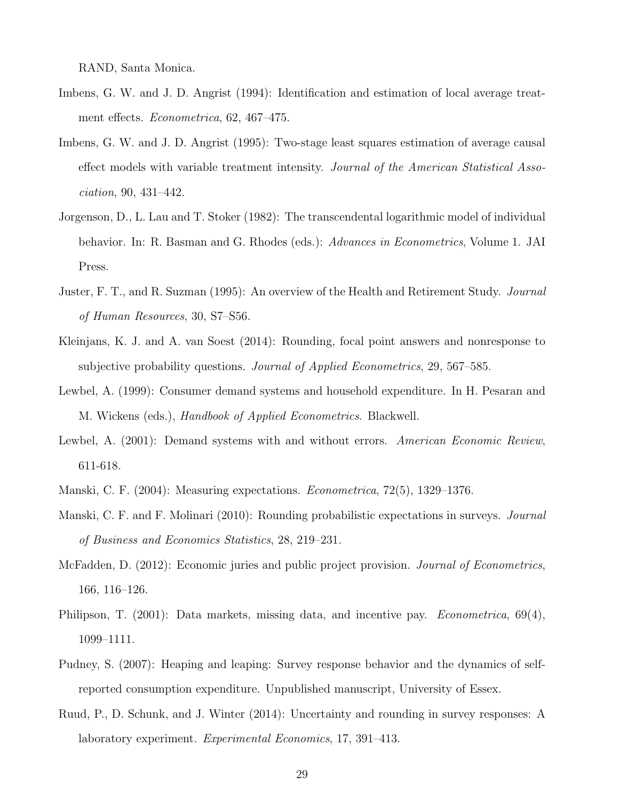RAND, Santa Monica.

- Imbens, G. W. and J. D. Angrist (1994): Identification and estimation of local average treatment effects. Econometrica, 62, 467–475.
- Imbens, G. W. and J. D. Angrist (1995): Two-stage least squares estimation of average causal effect models with variable treatment intensity. Journal of the American Statistical Association, 90, 431–442.
- Jorgenson, D., L. Lau and T. Stoker (1982): The transcendental logarithmic model of individual behavior. In: R. Basman and G. Rhodes (eds.): Advances in Econometrics, Volume 1. JAI Press.
- Juster, F. T., and R. Suzman (1995): An overview of the Health and Retirement Study. Journal of Human Resources, 30, S7–S56.
- Kleinjans, K. J. and A. van Soest (2014): Rounding, focal point answers and nonresponse to subjective probability questions. Journal of Applied Econometrics, 29, 567–585.
- Lewbel, A. (1999): Consumer demand systems and household expenditure. In H. Pesaran and M. Wickens (eds.), Handbook of Applied Econometrics. Blackwell.
- Lewbel, A. (2001): Demand systems with and without errors. American Economic Review, 611-618.
- Manski, C. F. (2004): Measuring expectations. Econometrica, 72(5), 1329–1376.
- Manski, C. F. and F. Molinari (2010): Rounding probabilistic expectations in surveys. *Journal* of Business and Economics Statistics, 28, 219–231.
- McFadden, D. (2012): Economic juries and public project provision. *Journal of Econometrics*, 166, 116–126.
- Philipson, T. (2001): Data markets, missing data, and incentive pay. *Econometrica*, 69(4), 1099–1111.
- Pudney, S. (2007): Heaping and leaping: Survey response behavior and the dynamics of selfreported consumption expenditure. Unpublished manuscript, University of Essex.
- Ruud, P., D. Schunk, and J. Winter (2014): Uncertainty and rounding in survey responses: A laboratory experiment. Experimental Economics, 17, 391–413.